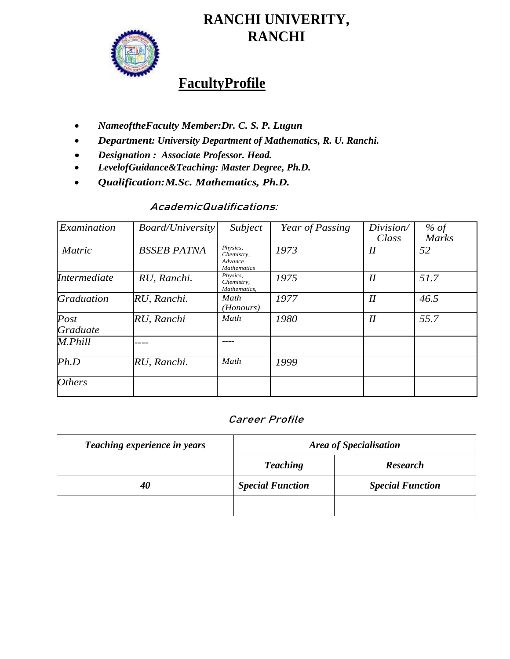

# **RANCHI UNIVERITY, RANCHI**

## **FacultyProfile**

- *NameoftheFaculty Member:Dr. C. S. P. Lugun*
- *Department: University Department of Mathematics, R. U. Ranchi.*
- *Designation : Associate Professor. Head.*
- *LevelofGuidance&Teaching: Master Degree, Ph.D.*
- *Qualification:M.Sc. Mathematics, Ph.D.*

## **AcademicQualifications:**

| Examination             | <b>Board/University</b> | Subject                                                 | Year of Passing | Division/<br>Class | % of<br><b>Marks</b> |
|-------------------------|-------------------------|---------------------------------------------------------|-----------------|--------------------|----------------------|
| <b>Matric</b>           | <b>BSSEB PATNA</b>      | Physics,<br>Chemistry,<br>Advance<br><b>Mathematics</b> | 1973            | $I\!I$             | 52                   |
| Intermediate            | RU, Ranchi.             | Physics,<br>Chemistry,<br>Mathematics,                  | 1975            | I                  | 51.7                 |
| <b>Graduation</b>       | RU, Ranchi.             | Math<br>(Honours)                                       | 1977            | I                  | 46.5                 |
| Post<br><b>Graduate</b> | RU, Ranchi              | Math                                                    | 1980            | I                  | 55.7                 |
| M.Phill                 |                         |                                                         |                 |                    |                      |
| Ph.D                    | RU, Ranchi.             | Math                                                    | 1999            |                    |                      |
| <b>Others</b>           |                         |                                                         |                 |                    |                      |

#### **Career Profile**

| Teaching experience in years | <b>Area of Specialisation</b> |                         |  |
|------------------------------|-------------------------------|-------------------------|--|
|                              | <b>Teaching</b>               | <b>Research</b>         |  |
| 40                           | <b>Special Function</b>       | <b>Special Function</b> |  |
|                              |                               |                         |  |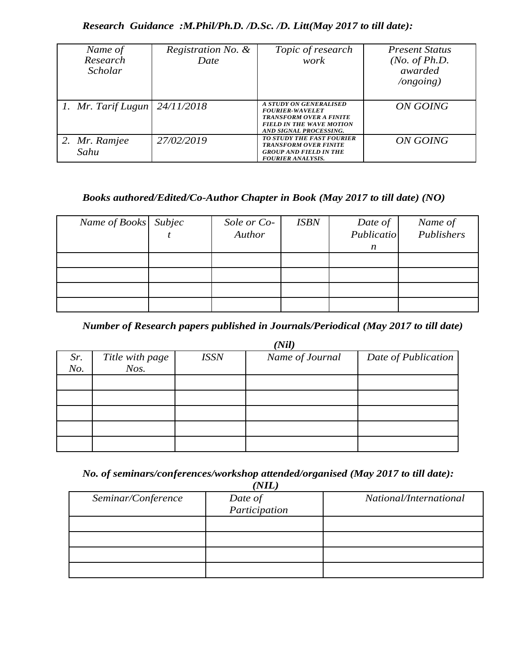#### *Research Guidance :M.Phil/Ph.D. /D.Sc. /D. Litt(May 2017 to till date):*

| Name of<br>Research<br><b>Scholar</b> | Registration No. &<br>Date | Topic of research<br>work                                                                                                                              | <i>Present Status</i><br>( <i>No. of Ph.D.</i><br>awarded<br>$\log$ ongoing) |
|---------------------------------------|----------------------------|--------------------------------------------------------------------------------------------------------------------------------------------------------|------------------------------------------------------------------------------|
| 1. Mr. Tarif Lugun                    | 24/11/2018                 | <b>A STUDY ON GENERALISED</b><br><b>FOURIER-WAVELET</b><br><b>TRANSFORM OVER A FINITE</b><br><b>FIELD IN THE WAVE MOTION</b><br>AND SIGNAL PROCESSING. | ON GOING                                                                     |
| 2. Mr. Ramjee<br>Sahu                 | 27/02/2019                 | <b>TO STUDY THE FAST FOURIER</b><br><b>TRANSFORM OVER FINITE</b><br><b>GROUP AND FIELD IN THE</b><br><b>FOURIER ANALYSIS.</b>                          | ON GOING                                                                     |

### *Books authored/Edited/Co-Author Chapter in Book (May 2017 to till date) (NO)*

| Name of Books Subjec | Sole or Co-<br>Author | <b>ISBN</b> | Date of<br>Publicatio | Name of<br>Publishers |
|----------------------|-----------------------|-------------|-----------------------|-----------------------|
|                      |                       |             | n                     |                       |
|                      |                       |             |                       |                       |
|                      |                       |             |                       |                       |

*Number of Research papers published in Journals/Periodical (May 2017 to till date)*

|     | (Nil)           |             |                 |                     |
|-----|-----------------|-------------|-----------------|---------------------|
| Sr. | Title with page | <b>ISSN</b> | Name of Journal | Date of Publication |
| No. | $N$ os.         |             |                 |                     |
|     |                 |             |                 |                     |
|     |                 |             |                 |                     |
|     |                 |             |                 |                     |
|     |                 |             |                 |                     |
|     |                 |             |                 |                     |

*No. of seminars/conferences/workshop attended/organised (May 2017 to till date):*

| (NIL)              |               |                        |  |  |
|--------------------|---------------|------------------------|--|--|
| Seminar/Conference | Date of       | National/International |  |  |
|                    | Participation |                        |  |  |
|                    |               |                        |  |  |
|                    |               |                        |  |  |
|                    |               |                        |  |  |
|                    |               |                        |  |  |